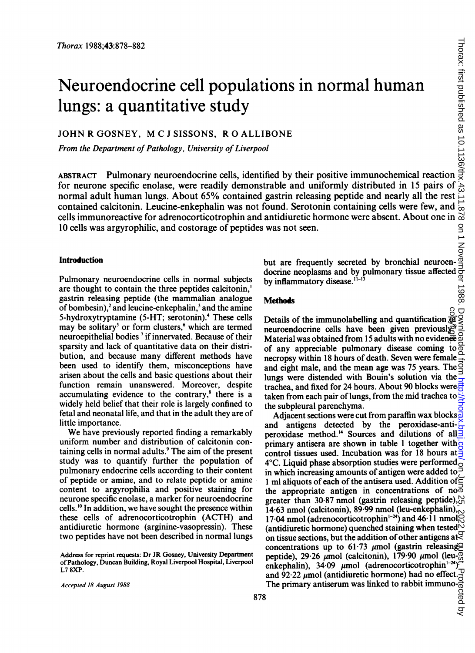# Neuroendocrine cell populations in normal human lungs: a quantitative study *Thorax* 1988;43:878-882<br> **Neuroendocrine cell populations in normal human<br>
lungs: a quantitative study<br>
JOHN R GOSNEY, M C J SISSONS, R O ALLIBONE<br>
From the Department of Pathology, University of Liverpool<br>
ABSTRACT Pulm**

JOHN R GOSNEY, M C J SISSONS, R O ALLIBONE

From the Department of Pathology, University of Liverpool

ABSTRACT Pulmonary neuroendocrine cells, identified by their positive immunochemical reaction normal adult human lungs. About 65% contained gastrin releasing peptide and nearly all the rest contained calcitonin. Leucine-enkephalin was not found. Serotonin containing cells were few, and contained calcitonin. Leucine-enkephalin was not found. Serotonin containing cells were few, and  $\frac{1}{2}$ <br>cells immunoreactive for adrenocorticotrophin and antidiuretic hormone were absent. About one in  $\frac{1}{2}$ <br>10 cell 10 cells was argyrophilic, and costorage of peptides was not seen.

## Introduction

Pulmonary neuroendocrine cells in normal subjects are thought to contain the three peptides calcitonin,' gastrin releasing peptide (the mammalian analogue of bombesin),<sup>2</sup> and leucine-enkephalin,<sup>3</sup> and the amine 5-hydroxytryptamine (5-HT; serotonin).<sup>4</sup> These cells may be solitary<sup>5</sup> or form clusters,<sup>6</sup> which are termed neuroepithelial bodies<sup>7</sup> if innervated. Because of their sparsity and lack of quantitative data on their distribution, and because many different methods have been used to identify them, misconceptions have arisen about the cells and basic questions about their function remain unanswered. Moreover, despite accumulating evidence to the contrary, $8$  there is a widely held belief that their role is largely confined to fetal and neonatal life, and that in the adult they are of little importance.

We have previously reported finding <sup>a</sup> remarkably uniform number and distribution of calcitonin containing cells in normal adults.9 The aim of the present study was to quantify further the population of pulmonary endocrine cells according to their content of peptide or amine, and to relate peptide or amine content to argyrophilia and positive staining for neurone specific enolase, a marker for neuroendocrine cells.'" In addition, we have sought the presence within these cells of adrenocorticotrophin (ACTH) and antidiuretic hormone (arginine-vasopressin). These two peptides have not been described in normal lungs

Accepted 18 August 1988

docrine neoplasms and by pulmonary tissue affected by inflammatory disease. $11-13$ 

but are frequently secreted by bronchial neuroen-

# **Methods**

**Details of the immunolabelling and quantification**  $\frac{80}{90}$ **<br>Details of the immunolabelling and quantification**  $\frac{80}{90}$ **<br>neuroendocrine cells have been given previously**  $\frac{80}{90}$ **<br>Material was obtained from 15 adults** neuroendocrine cells have been given previously.<sup> $\hat{E}$ </sup> Material was obtained from 15 adults with no evidence of any appreciable pulmonary disease coming to necropsy within 18 hours of death. Seven were female and eight male, and the mean age was 75 years. The  $\frac{3}{5}$ lungs were distended with Bouin's solution via the trachea, and fixed for 24 hours. About 90 blocks were taken from each pair of lungs, from the mid trachea to the subpleural parenchyma.

Adjacent sections were cut from paraffin wax blocks and antigens detected by the peroxidase-antiperoxidase method.<sup>14</sup> Sources and dilutions of all  $\frac{3}{2}$ primary antisera are shown in table <sup>1</sup> together with control tissues used. Incubation was for 18 hours at  $4^{\circ}$ C. Liquid phase absorption studies were performed $\circ$ in which increasing amounts of antigen were added to  $\bar{P}$ 1 ml aliquots of each of the antisera used. Addition of the appropriate antigen in concentrations of no greater than 30.87 nmol (gastrin releasing peptide), $\frac{1}{62}$ 14-63 nmol (calcitonin), 89-99 nmol (leu-enkephalin), $\frac{1}{10}$ 17.04 nmol (adrenocorticotrophin<sup>1-24</sup>) and 46.11 nmol<sup> $\odot$ </sup> (antidiuretic hormone) quenched staining when tested  $\aleph$ on tissue sections, but the addition of other antigens at  $\gtrless$ concentrations up to 61.73  $\mu$ mol (gastrin releasing peptide),  $29.26 \mu$ mol (calcitonin),  $179.90 \mu$ mol (leuenkephalin),  $34.09 \mu$ mol (adrenocorticotrophin<sup>1-24</sup>)<sup>-1</sup> and  $92.22 \mu$  mol (antidiuretic hormone) had no effect. The primary antiserum was linked to rabbit immuno- $\frac{5}{6}$ <br> $\frac{6}{6}$ **EXECUTETHE STATE STATE STATE STATE AS A STATE OF A CONSUMPTION AND A CONSUMPTION CONSUMPTION CONSUMPTION CONSUMPTION CONSUMPTION CONSUMPTION (A STATE OF A STATE OF A CONSUMPTION CONSUMPTION (A STATE OF A CONSUMPTION CON** 

Address for reprint requests: Dr JR Gosney, University Department of Pathology, Duncan Building, Royal Liverpool Hospital, Liverpool L7 8XP.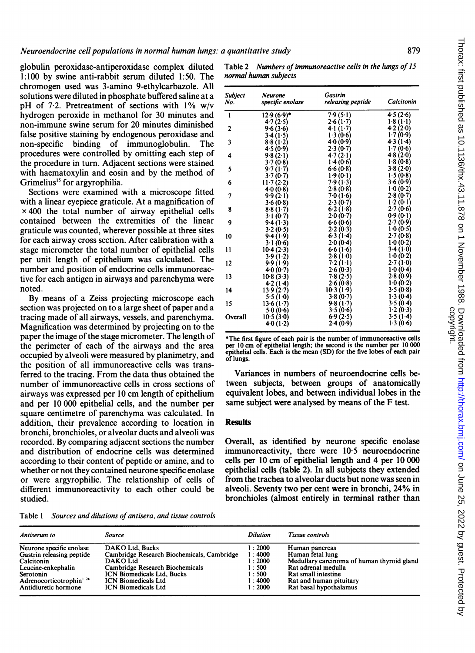Neuroendocrine cell populations in normal human lungs: a quantitative study

globulin peroxidase-antiperoxidase complex diluted 1:100 by swine anti-rabbit serum diluted 1:50. The chromogen used was 3-amino 9-ethylcarbazole. All solutions were diluted in phosphate buffered saline at a pH of 72. Pretreatment of sections with 1% w/v hydrogen peroxide in methanol for 30 minutes and non-immune swine serum for 20 minutes diminished false positive staining by endogenous peroxidase and non-specific binding of immunoglobulin. The procedures were controlled by omitting each step of the procedure in turn. Adjacent sections were stained with haematoxylin and eosin and by the method of Grimelius<sup>15</sup> for argyrophilia.

Sections were examined with a microscope fitted with a linear eyepiece graticule. At a magnification of  $\times$  400 the total number of airway epithelial cells contained between the extremities of the linear graticule was counted, wherever possible at three sites for each airway cross section. After calibration with a stage micrometer the total number of epithelial cells per unit length of epithelium was calculated. The number and position of endocrine cells immunoreactive for each antigen in airways and parenchyma were noted.

By means of a Zeiss projecting microscope each section was projected on to a large sheet of paper and a tracing made of all airways, vessels, and parenchyma. Magnification was determined by projecting on to the paper the image of the stage micrometer. The length of the perimeter of each of the airways and the area occupied by alveoli were measured by planimetry, and the position of all immunoreactive cells was transferred to the tracing. From the data thus obtained the number of immunoreactive cells in cross sections of airways was expressed per <sup>10</sup> cm length of epithelium and per 10 000 epithelial cells, and the number per square centimetre of parenchyma was calculated. In addition, their prevalence according to location in bronchi, bronchioles, or alveolar ducts and alveoli was recorded. By comparing adjacent sections the number and distribution of endocrine cells was determined according to their content of peptide or amine, and to whether or not they contained neurone specific enolase or were argyrophilic. The relationship of cells of different immunoreactivity to each other could be studied.

Table 1 Sources and dilutions of antisera, and tissue controls

| Antiserum to                                    | Source                                     | <b>Dilution</b> | Tissue controls                            |
|-------------------------------------------------|--------------------------------------------|-----------------|--------------------------------------------|
| Neurone specific enolase                        | DAKO Ltd. Bucks                            | 1:2000          | Human pancreas                             |
| Gastrin releasing peptide                       | Cambridge Research Biochemicals, Cambridge | 1:4000          | Human fetal lung                           |
| Calcitonin                                      | <b>DAKO Ltd</b>                            | 1:2000          | Medullary carcinoma of human thyroid gland |
| Leucine-enkephalin                              | Cambridge Research Biochemicals            | 1:500           | Rat adrenal medulla                        |
| Serotonin                                       | <b>ICN Biomedicals Ltd. Bucks</b>          | 1:500           | Rat small intestine                        |
| Adrenocorticotrophin <sup>1</sup> <sup>24</sup> | <b>ICN Biomedicals Ltd</b>                 | 1:4000          | Rat and human pituitary                    |
| Antidiuretic hormone                            | <b>ICN Biomedicals Ltd</b>                 | 1:2000          | Rat basal hypothalamus                     |

Table 2 Numbers of immunoreactive cells in the lungs of 15 normal human subjects

| <b>Subject</b><br>No. | <b>Neurone</b><br>specific enolase | Gastrin<br>releasing peptide | Calcitonin |
|-----------------------|------------------------------------|------------------------------|------------|
| $\mathbf{1}$          | $12.9(6.9)$ *                      | 7.9(5.1)                     | 4.5(2.6)   |
|                       | 4.7(2.5)                           | 2.6(1.7)                     | 1.8(1.1)   |
| $\mathbf{2}$          | 9.6(3.6)                           | 4.1(1.7)                     | 4.2(2.0)   |
|                       | 3.4(1.5)                           | 1.3(0.6)                     | 1.7(0.9)   |
| 3                     | 8.8(1.2)                           | 4.0(0.9)                     | 4.3(1.4)   |
|                       | 4.5(0.9)                           | 2.3(0.7)                     | 1.7(0.6)   |
| 4                     | 9.8(2.1)                           | 4.7(2.1)                     | 48(2.0)    |
|                       | 3.7(0.8)                           | 1.4(0.6)                     | 1.8(0.8)   |
| 5                     | 9.7(1.7)                           | 6.6(0.8)                     | 3.8(2.0)   |
|                       | 3.7(0.7)                           | 1.9(0.1)                     | 1.5(0.8)   |
| 6                     | 11.7(2.2)                          | 7.9(1.3)                     | 3.6(0.9)   |
|                       | 4.0(0.8)                           | 2.8(0.8)                     | 1.0(0.2)   |
| 7                     | 9.9(2.1)                           | 7.0(1.6)                     | 2.8(0.7)   |
|                       | 3.6(0.8)                           | 2.3(0.7)                     | 1.2(0.1)   |
| 8                     | 8.8(1.7)                           | 6.2(1.8)                     | 2.7(0.6)   |
|                       | 3.1(0.7)                           | 2.0(0.7)                     | 0.9(0.1)   |
| 9                     | 9.4(1.3)                           | 6.6(0.6)                     | 2.7(0.9)   |
|                       | 3.2(0.5)                           | 2.2(0.3)                     | 1.0(0.5)   |
| 10                    | 9.4(1.9)                           | 6.3(1.4)                     | 2.7(0.8)   |
|                       | 3.1(0.6)                           | 2.0(0.4)                     | 1.0(0.2)   |
| 11                    | 10.4(2.3)                          | 6.6(1.6)                     | 3.4(1.0)   |
|                       | 3.9(1.2)                           | 2.8(1.0)                     | 1.0(0.2)   |
| 12                    | 9.9(1.9)                           | 7.2(1.1)                     | 2.7(1.0)   |
|                       | 4.0(0.7)                           | 2.6(0.3)                     | 1.0(0.4)   |
| 13                    | 10.8(3.3)                          | 7.8(2.5)                     | 2.8(0.9)   |
|                       | 4.2(1.4)                           | 2.6(0.8)                     | 1.0(0.2)   |
| 14                    | 13.9(2.7)                          | 10.3(1.9)                    | 3.5(0.8)   |
|                       | 5.5(1.0)                           | 3.8(0.7)                     | 1.3(0.4)   |
| 15                    | 13.6(1.7)                          | 9.8(1.7)                     | 3.5(0.4)   |
|                       | 5.0(0.6)                           | 3.5(0.6)                     | 1.2(0.3)   |
| Overall               | 10.5(3.0)                          | 6.9(2.5)                     | 3.5(1.4)   |
|                       | 4.0(1.2)                           | 2.4(0.9)                     | 1.3(0.6)   |
|                       |                                    |                              |            |

\*The first figure of each pair is the number of immunoreactive cells per 10 cm of epithelial length; the second is the number per 10 000 epithelial cells. Each is the mean (SD) for the five lobes of each pair of lungs.

Variances in numbers of neuroendocrine cells between subjects, between groups of anatomically equivalent lobes, and between individual lobes in the same subject were analysed by means of the F test.

### **Results**

Overall, as identified by neurone specific enolase immunoreactivity, there were 10-5 neuroendocrine cells per 10 cm of epithelial length and 4 per 10 000 epithelial cells (table 2). In all subjects they extended from the trachea to alveolar ducts but none was seen in alveoli. Seventy two per cent were in bronchi, 24% in bronchioles (almost entirely in terminal rather than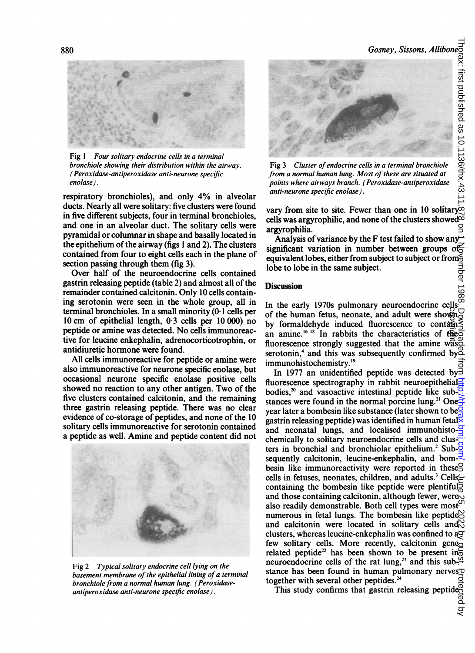

Fig <sup>1</sup> Four solitary endocrine cells in a terminal bronchiole showing their distribution within the airway. (Peroxidase-antiperoxidase anti-neurone specific enolase).

respiratory bronchioles), and only 4% in alveolar ducts. Nearly all were solitary: five clusters were found in five different subjects, four in terminal bronchioles, and one in an alveolar duct. The solitary cells were pyramidal or columnar in shape and basally located in the epithelium of the airway (figs <sup>1</sup> and 2). The clusters contained from four to eight cells each in the plane of section passing through them (fig 3).

Over half of the neuroendocrine cells contained gastrin releasing peptide (table 2) and almost all of the remainder contained calcitonin. Only 10 cells containing serotonin were seen in the whole group, all in terminal bronchioles. In a small minority (0- <sup>1</sup> cells per <sup>10</sup> cm of epithelial length, 0 <sup>3</sup> cells per <sup>10</sup> 000) no peptide or amine was detected. No cells immunoreactive for leucine enkephalin, adrenocorticotrophin, or antidiuretic hormone were found.

All cells immunoreactive for peptide or amine were also immunoreactive for neurone specific enolase, but occasional neurone specific enolase positive cells showed no reaction to any other antigen. Two of the five clusters contained calcitonin, and the remaining three gastrin releasing peptide. There was no clear evidence of co-storage of peptides, and none of the 10 solitary cells immunoreactive for serotonin contained a peptide as well. Amine and peptide content did not



Fig 2 Typical solitary endocrine cell lying on the basement membrane of the epithelial lining of a terminal bronchiole from a normal human lung. (Peroxidaseantiperoxidase anti-neurone specific enolase).



Fig 3 Cluster of endocrine cells in a terminal bronchiole from a normal human lung. Most of these are situated at points where airways branch. (Peroxidase-antiperoxidase anti-neurone specific enolase).

vary from site to site. Fewer than one in 10 solitary $\infty$ cells was argyrophilic, and none of the clusters showed  $\ddot{\infty}$ argyrophilia.

Analysis of variance by the F test failed to show any significant variation in number between groups of  $\leq$ equivalent lobes, either from subject to subject or from $\frac{2}{9}$ lobe to lobe in the same subject.

#### Discussion

In the early 1970s pulmonary neuroendocrine cells of the human fetus, neonate, and adult were shown by formaldehyde induced fluorescence to contament an amine.<sup>16-18</sup> In rabbits the characteristics of the of the human fetus, neonate, and adult were shown<br>by formaldehyde induced fluorescence to contain<br>an amine.<sup>16-18</sup> In rabbits the characteristics of the<br>fluorescence strongly suggested that the amine was serotonin,<sup>4</sup> and this was subsequently confirmed by ${}^{\circ}\mathbb{L}$ immunohistochemistry.'9

In 1977 an unidentified peptide was detected by  $\bar{3}$ fluorescence spectrography in rabbit neuroepithelial $\Xi$ bodies,<sup>20</sup> and vasoactive intestinal peptide like sub- $\frac{1}{2}$ stances were found in the normal porcine lung.<sup>21</sup> One $\frac{1}{2}$ year later a bombesin like substance (later shown to be $\frac{1}{2}$ gastrin releasing peptide) was identified in human fetal and neonatal lungs, and localised immunohisto- $\frac{1}{2}$ chemically to solitary neuroendocrine cells and clusters in bronchial and bronchiolar epithelium.<sup>2</sup> Sub-C sequently calcitonin, leucine-enkephalin, and bom- $\equiv$ besin like immunoreactivity were reported in these cells in fetuses, neonates, children, and adults.<sup>3</sup> Cells $\leftarrow$ containing the bombesin like peptide were plentiful. and those containing calcitonin, although fewer, were also readily demonstrable. Both cell types were most numerous in fetal lungs. The bombesin like peptide $\approx$ and calcitonin were located in solitary cells and  $\overline{N}$ clusters, whereas leucine-enkephalin was confined to  $a\sigma$ few solitary cells. More recently, calcitonin geneo related peptide<sup>22</sup> has been shown to be present in $\frac{2}{5}$ neuroendocrine cells of the rat lung,<sup>23</sup> and this sub- $\frac{100}{11}$ stance has been found in human pulmonary nerves $\sigma$ together with several other peptides.<sup>24</sup> l horax: hrst published as 10.1136/thx.43.11.878 on J.November 1988. Downloaded from Dunicom/ on June 25, 2022. Dog By guest. Protected by

This study confirms that gastrin releasing peptides.<br>This study confirms that gastrin releasing peptides.

g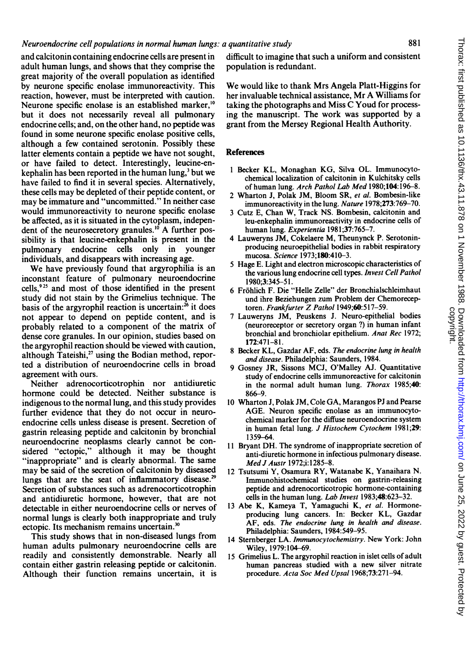### Neuroendocrine cell populations in normal human lungs: a quantitative study

and calcitonin containing endocrine cells are present in adult human lungs, and shows that they comprise the great majority of the overall population as identified by neurone specific enolase immunoreactivity. This reaction, however, must be interpreted with caution. Neurone specific enolase is an established marker,<sup>10</sup> but it does not necessarily reveal all pulmonary endocrine cells; and, on the other hand, no peptide was found in some neurone specific enolase positive cells, although a few contained serotonin. Possibly these latter elements contain a peptide we have not sought, or have failed to detect. Interestingly, leucine-enkephalin has been reported in the human lung,<sup>3</sup> but we have failed to find it in several species. Alternatively, these cells may be depleted of their peptide content, or may be immature and "uncommitted." In neither case would immunoreactivity to neurone specific enolase be affected, as it is situated in the cytoplasm, independent of the neurosecretory granules.<sup>10</sup> A further possibility is that leucine-enkephalin is present in the pulmonary endocrine cells only in younger individuals, and disappears with increasing age.

We have previously found that argyrophilia is an inconstant feature of pulmonary neuroendocrine cells,925 and most of those identified in the present study did not stain by the Grimelius technique. The basis of the argyrophil reaction is uncertain: $26$  it does not appear to depend on peptide content, and is probably related to a component of the matrix of dense core granules. In our opinion, studies based on the argyrophil reaction should be viewed with caution, although Tateishi, $^{27}$  using the Bodian method, reported a distribution of neuroendocrine cells in broad agreement with ours.

Neither adrenocorticotrophin nor antidiuretic hormone could be detected. Neither substance is indigenous to the normal lung, and this study provides further evidence that they do not occur in neuroendocrine cells unless disease is present. Secretion of gastrin releasing peptide and calcitonin by bronchial neuroendocrine neoplasms clearly cannot be considered "ectopic," although it may be thought "inappropriate" and is clearly abnormal. The same may be said of the secretion of calcitonin by diseased lungs that are the seat of inflammatory disease.<sup>29</sup> Secretion of substances such as adrenocorticotrophin and antidiuretic hormone, however, that are not detectable in either neuroendocrine cells or nerves of normal lungs is clearly both inappropriate and truly ectopic. Its mechanism remains uncertain.<sup>30</sup>

This study shows that in non-diseased lungs from human adults pulmonary neuroendocrine cells are readily and consistently demonstrable. Nearly all contain either gastrin releasing peptide or calcitonin. Although their function remains uncertain, it is

difficult to imagine that such a uniform and consistent population is redundant.

We would like to thank Mrs Angela Platt-Higgins for her invaluable technical assistance, Mr A Williams for taking the photographs and Miss C Youd for processing the manuscript. The work was supported by a grant from the Mersey Regional Health Authority.

#### References

- <sup>1</sup> Becker KL, Monaghan KG, Silva OL. Immunocytochemical localization of calcitonin in Kulchitsky cells of human lung. Arch Pathol Lab Med 1980;104:196-8.
- 2 Wharton J, Polak JM, Bloom SR, et al. Bombesin-like immunoreactivity in the lung. Nature 1978;273:769-70.
- <sup>3</sup> Cutz E, Chan W, Track NS. Bombesin, calcitonin and leu-enkephalin immunoreactivity in endocrine cells of human lung. Experientia 1981;37:765-7.
- 4 Lauweryns JM, Cokelaere M, Theunynck P. Serotoninproducing neuroepithelial bodies in rabbit respiratory mucosa. Science 1973;180:410-3.
- 5 Hage E. Light and electron microscopic characteristics of the various lung endocrine cell types. Invest Cell Pathol 1980;3:345-51.
- 6 Frohlich F. Die "Helle Zelle" der Bronchialschleimhaut und ihre Beziehungen zum Problem der Chemoreceptoren. Frankfurter Z Pathol 1949;60:517-59.
- 7 Lauweryns JM, Peuskens J. Neuro-epithelial bodies (neuroreceptor or secretory organ ?) in human infant bronchial and bronchiolar epithelium. Anat Rec 1972; 172:471-81.
- 8 Becker KL, Gazdar AF, eds. The endocrine lung in health and disease. Philadelphia: Saunders, 1984.
- 9 Gosney JR, Sissons MCJ, O'Malley AJ. Quantitative study of endocrine cells immunoreactive for calcitonin in the normal adult human lung. Thorax 1985;40: 866-9.
- 10 Wharton J, Polak JM, Cole GA, Marangos PJ and Pearse AGE. Neuron specific enolase as an immunocytochemical marker for the diffuse neuroendocrine system in human fetal lung. J Histochem Cytochem 1981;29: 1359-64.
- <sup>11</sup> Bryant DH. The syndrome of inappropriate secretion of anti-diuretic hormone in infectious pulmonary disease. Med J Austr 1972;i:1285-8.
- 12 Tsutsumi Y, Osamura RY, Watanabe K, Yanaihara N. Immunohistochemical studies on gastrin-releasing peptide and adrenocorticotropic hormone-containing cells in the human lung. Lab Invest 1983;48:623-32.
- <sup>13</sup> Abe K, Kameya T, Yamaguchi K, et al. Hormoneproducing lung cancers. In: Becker KL, Gazdar AF, eds. The endocrine lung in health and disease. Philadelphia: Saunders, 1984:549-95.
- 14 Sternberger LA. Immunocytochemistry. New York: John Wiley, 1979:104-69.
- 15 Grimelius L. The argyrophil reaction in islet cells of adult human pancreas studied with a new silver nitrate procedure. Acta Soc Med Upsal 1968;73:271-94.